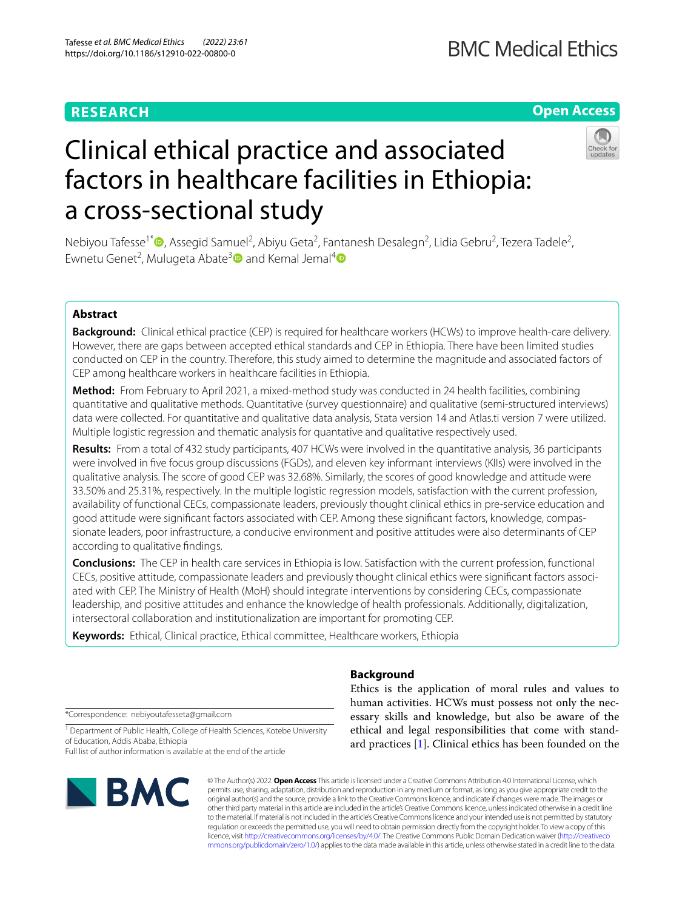## **RESEARCH**

## **BMC Medical Ethics**

## **Open Access**



# Clinical ethical practice and associated factors in healthcare facilities in Ethiopia: a cross-sectional study

Nebiyou Tafesse<sup>1[\\*](http://orcid.org/0000-0002-0314-497X)</sup>®, Assegid Samuel<sup>2</sup>, Abiyu Geta<sup>2</sup>, Fantanesh Desalegn<sup>2</sup>, Lidia Gebru<sup>2</sup>, Tezera Tadele<sup>2</sup>, Ewnetu Genet<sup>2</sup>, Mulugeta Abate<sup>3</sup><sup>1</sup> and Kemal Jemal<sup>4</sup><sup>1</sup>

## **Abstract**

**Background:** Clinical ethical practice (CEP) is required for healthcare workers (HCWs) to improve health-care delivery. However, there are gaps between accepted ethical standards and CEP in Ethiopia. There have been limited studies conducted on CEP in the country. Therefore, this study aimed to determine the magnitude and associated factors of CEP among healthcare workers in healthcare facilities in Ethiopia.

**Method:** From February to April 2021, a mixed-method study was conducted in 24 health facilities, combining quantitative and qualitative methods. Quantitative (survey questionnaire) and qualitative (semi-structured interviews) data were collected. For quantitative and qualitative data analysis, Stata version 14 and Atlas.ti version 7 were utilized. Multiple logistic regression and thematic analysis for quantative and qualitative respectively used.

**Results:** From a total of 432 study participants, 407 HCWs were involved in the quantitative analysis, 36 participants were involved in fve focus group discussions (FGDs), and eleven key informant interviews (KIIs) were involved in the qualitative analysis. The score of good CEP was 32.68%. Similarly, the scores of good knowledge and attitude were 33.50% and 25.31%, respectively. In the multiple logistic regression models, satisfaction with the current profession, availability of functional CECs, compassionate leaders, previously thought clinical ethics in pre-service education and good attitude were signifcant factors associated with CEP. Among these signifcant factors, knowledge, compassionate leaders, poor infrastructure, a conducive environment and positive attitudes were also determinants of CEP according to qualitative fndings.

**Conclusions:** The CEP in health care services in Ethiopia is low. Satisfaction with the current profession, functional CECs, positive attitude, compassionate leaders and previously thought clinical ethics were signifcant factors associated with CEP. The Ministry of Health (MoH) should integrate interventions by considering CECs, compassionate leadership, and positive attitudes and enhance the knowledge of health professionals. Additionally, digitalization, intersectoral collaboration and institutionalization are important for promoting CEP.

**Keywords:** Ethical, Clinical practice, Ethical committee, Healthcare workers, Ethiopia

## **Background**

\*Correspondence: nebiyoutafesseta@gmail.com

<sup>1</sup> Department of Public Health, College of Health Sciences, Kotebe University of Education, Addis Ababa, Ethiopia

Full list of author information is available at the end of the article



© The Author(s) 2022. **Open Access** This article is licensed under a Creative Commons Attribution 4.0 International License, which permits use, sharing, adaptation, distribution and reproduction in any medium or format, as long as you give appropriate credit to the original author(s) and the source, provide a link to the Creative Commons licence, and indicate if changes were made. The images or other third party material in this article are included in the article's Creative Commons licence, unless indicated otherwise in a credit line to the material. If material is not included in the article's Creative Commons licence and your intended use is not permitted by statutory regulation or exceeds the permitted use, you will need to obtain permission directly from the copyright holder. To view a copy of this licence, visit [http://creativecommons.org/licenses/by/4.0/.](http://creativecommons.org/licenses/by/4.0/) The Creative Commons Public Domain Dedication waiver ([http://creativeco](http://creativecommons.org/publicdomain/zero/1.0/) [mmons.org/publicdomain/zero/1.0/](http://creativecommons.org/publicdomain/zero/1.0/)) applies to the data made available in this article, unless otherwise stated in a credit line to the data.

Ethics is the application of moral rules and values to human activities. HCWs must possess not only the necessary skills and knowledge, but also be aware of the ethical and legal responsibilities that come with standard practices [\[1](#page-10-0)]. Clinical ethics has been founded on the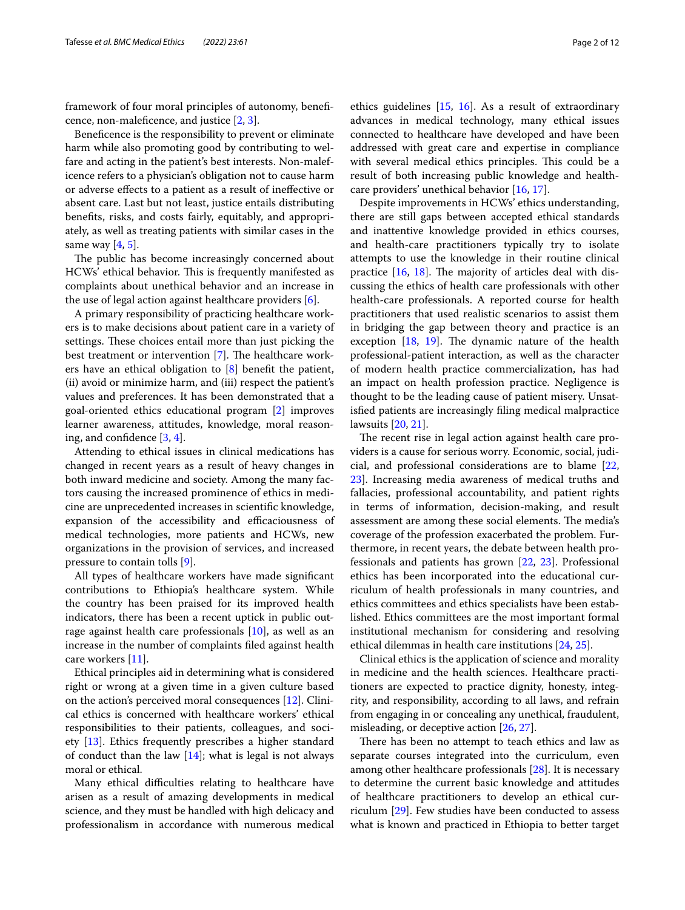framework of four moral principles of autonomy, benefcence, non-malefcence, and justice [\[2,](#page-10-1) [3](#page-11-0)].

Benefcence is the responsibility to prevent or eliminate harm while also promoting good by contributing to welfare and acting in the patient's best interests. Non-maleficence refers to a physician's obligation not to cause harm or adverse efects to a patient as a result of inefective or absent care. Last but not least, justice entails distributing benefts, risks, and costs fairly, equitably, and appropriately, as well as treating patients with similar cases in the same way  $[4, 5]$  $[4, 5]$  $[4, 5]$ .

The public has become increasingly concerned about HCWs' ethical behavior. This is frequently manifested as complaints about unethical behavior and an increase in the use of legal action against healthcare providers [[6](#page-11-3)].

A primary responsibility of practicing healthcare workers is to make decisions about patient care in a variety of settings. These choices entail more than just picking the best treatment or intervention  $[7]$  $[7]$ . The healthcare workers have an ethical obligation to [\[8](#page-11-5)] beneft the patient, (ii) avoid or minimize harm, and (iii) respect the patient's values and preferences. It has been demonstrated that a goal-oriented ethics educational program [\[2](#page-10-1)] improves learner awareness, attitudes, knowledge, moral reason-ing, and confidence [[3,](#page-11-0) [4](#page-11-1)].

Attending to ethical issues in clinical medications has changed in recent years as a result of heavy changes in both inward medicine and society. Among the many factors causing the increased prominence of ethics in medicine are unprecedented increases in scientifc knowledge, expansion of the accessibility and efficaciousness of medical technologies, more patients and HCWs, new organizations in the provision of services, and increased pressure to contain tolls [\[9\]](#page-11-6).

All types of healthcare workers have made signifcant contributions to Ethiopia's healthcare system. While the country has been praised for its improved health indicators, there has been a recent uptick in public outrage against health care professionals [[10\]](#page-11-7), as well as an increase in the number of complaints fled against health care workers [\[11](#page-11-8)].

Ethical principles aid in determining what is considered right or wrong at a given time in a given culture based on the action's perceived moral consequences [\[12\]](#page-11-9). Clinical ethics is concerned with healthcare workers' ethical responsibilities to their patients, colleagues, and society [\[13\]](#page-11-10). Ethics frequently prescribes a higher standard of conduct than the law  $[14]$  $[14]$ ; what is legal is not always moral or ethical.

Many ethical difficulties relating to healthcare have arisen as a result of amazing developments in medical science, and they must be handled with high delicacy and professionalism in accordance with numerous medical ethics guidelines [\[15](#page-11-12), [16\]](#page-11-13). As a result of extraordinary advances in medical technology, many ethical issues connected to healthcare have developed and have been addressed with great care and expertise in compliance with several medical ethics principles. This could be a result of both increasing public knowledge and healthcare providers' unethical behavior [[16](#page-11-13), [17\]](#page-11-14).

Despite improvements in HCWs' ethics understanding, there are still gaps between accepted ethical standards and inattentive knowledge provided in ethics courses, and health-care practitioners typically try to isolate attempts to use the knowledge in their routine clinical practice  $[16, 18]$  $[16, 18]$  $[16, 18]$ . The majority of articles deal with discussing the ethics of health care professionals with other health-care professionals. A reported course for health practitioners that used realistic scenarios to assist them in bridging the gap between theory and practice is an exception  $[18, 19]$  $[18, 19]$  $[18, 19]$  $[18, 19]$  $[18, 19]$ . The dynamic nature of the health professional-patient interaction, as well as the character of modern health practice commercialization, has had an impact on health profession practice. Negligence is thought to be the leading cause of patient misery. Unsatisfed patients are increasingly fling medical malpractice lawsuits [\[20,](#page-11-17) [21](#page-11-18)].

The recent rise in legal action against health care providers is a cause for serious worry. Economic, social, judicial, and professional considerations are to blame [[22](#page-11-19), [23\]](#page-11-20). Increasing media awareness of medical truths and fallacies, professional accountability, and patient rights in terms of information, decision-making, and result assessment are among these social elements. The media's coverage of the profession exacerbated the problem. Furthermore, in recent years, the debate between health professionals and patients has grown [[22,](#page-11-19) [23\]](#page-11-20). Professional ethics has been incorporated into the educational curriculum of health professionals in many countries, and ethics committees and ethics specialists have been established. Ethics committees are the most important formal institutional mechanism for considering and resolving ethical dilemmas in health care institutions [\[24,](#page-11-21) [25](#page-11-22)].

Clinical ethics is the application of science and morality in medicine and the health sciences. Healthcare practitioners are expected to practice dignity, honesty, integrity, and responsibility, according to all laws, and refrain from engaging in or concealing any unethical, fraudulent, misleading, or deceptive action [\[26,](#page-11-23) [27](#page-11-24)].

There has been no attempt to teach ethics and law as separate courses integrated into the curriculum, even among other healthcare professionals [[28](#page-11-25)]. It is necessary to determine the current basic knowledge and attitudes of healthcare practitioners to develop an ethical curriculum [\[29](#page-11-26)]. Few studies have been conducted to assess what is known and practiced in Ethiopia to better target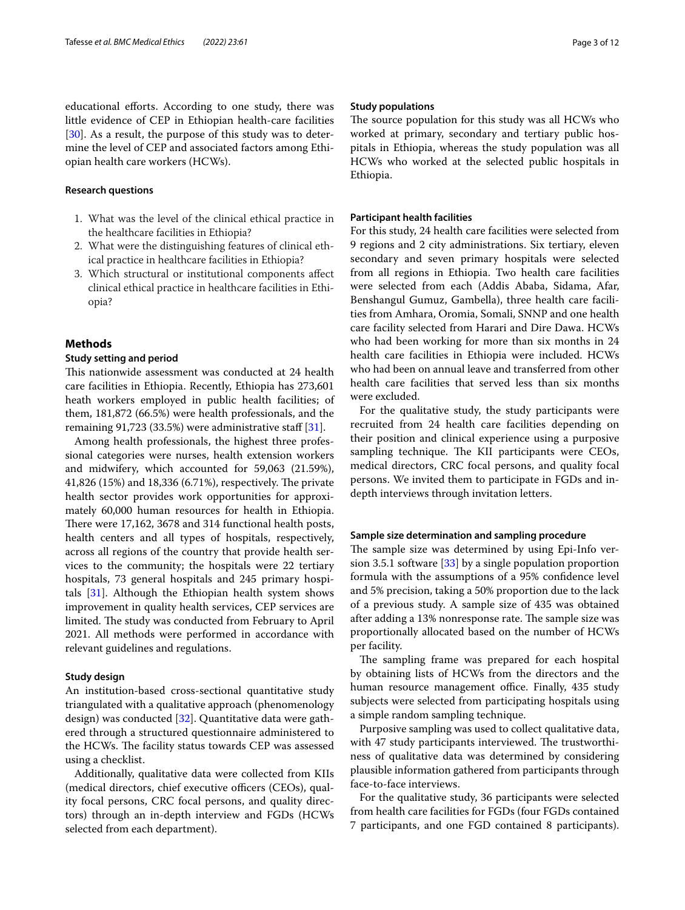educational efforts. According to one study, there was little evidence of CEP in Ethiopian health-care facilities [[30\]](#page-11-27). As a result, the purpose of this study was to determine the level of CEP and associated factors among Ethiopian health care workers (HCWs).

#### **Research questions**

- 1. What was the level of the clinical ethical practice in the healthcare facilities in Ethiopia?
- 2. What were the distinguishing features of clinical ethical practice in healthcare facilities in Ethiopia?
- 3. Which structural or institutional components afect clinical ethical practice in healthcare facilities in Ethiopia?

#### **Methods**

### **Study setting and period**

This nationwide assessment was conducted at 24 health care facilities in Ethiopia. Recently, Ethiopia has 273,601 heath workers employed in public health facilities; of them, 181,872 (66.5%) were health professionals, and the remaining 91,723 (33.5%) were administrative staff  $[31]$ .

Among health professionals, the highest three professional categories were nurses, health extension workers and midwifery, which accounted for 59,063 (21.59%), 41,826 (15%) and 18,336 (6.71%), respectively. The private health sector provides work opportunities for approximately 60,000 human resources for health in Ethiopia. There were 17,162, 3678 and 314 functional health posts, health centers and all types of hospitals, respectively, across all regions of the country that provide health services to the community; the hospitals were 22 tertiary hospitals, 73 general hospitals and 245 primary hospitals [[31](#page-11-28)]. Although the Ethiopian health system shows improvement in quality health services, CEP services are limited. The study was conducted from February to April 2021. All methods were performed in accordance with relevant guidelines and regulations.

#### **Study design**

An institution-based cross-sectional quantitative study triangulated with a qualitative approach (phenomenology design) was conducted [[32](#page-11-29)]. Quantitative data were gathered through a structured questionnaire administered to the HCWs. The facility status towards CEP was assessed using a checklist.

Additionally, qualitative data were collected from KIIs (medical directors, chief executive officers (CEOs), quality focal persons, CRC focal persons, and quality directors) through an in-depth interview and FGDs (HCWs selected from each department).

#### **Study populations**

The source population for this study was all HCWs who worked at primary, secondary and tertiary public hospitals in Ethiopia, whereas the study population was all HCWs who worked at the selected public hospitals in Ethiopia.

#### **Participant health facilities**

For this study, 24 health care facilities were selected from 9 regions and 2 city administrations. Six tertiary, eleven secondary and seven primary hospitals were selected from all regions in Ethiopia. Two health care facilities were selected from each (Addis Ababa, Sidama, Afar, Benshangul Gumuz, Gambella), three health care facilities from Amhara, Oromia, Somali, SNNP and one health care facility selected from Harari and Dire Dawa. HCWs who had been working for more than six months in 24 health care facilities in Ethiopia were included. HCWs who had been on annual leave and transferred from other health care facilities that served less than six months were excluded.

For the qualitative study, the study participants were recruited from 24 health care facilities depending on their position and clinical experience using a purposive sampling technique. The KII participants were CEOs, medical directors, CRC focal persons, and quality focal persons. We invited them to participate in FGDs and indepth interviews through invitation letters.

#### **Sample size determination and sampling procedure**

The sample size was determined by using Epi-Info version 3.5.1 software  $[33]$  $[33]$  by a single population proportion formula with the assumptions of a 95% confdence level and 5% precision, taking a 50% proportion due to the lack of a previous study. A sample size of 435 was obtained after adding a 13% nonresponse rate. The sample size was proportionally allocated based on the number of HCWs per facility.

The sampling frame was prepared for each hospital by obtaining lists of HCWs from the directors and the human resource management office. Finally, 435 study subjects were selected from participating hospitals using a simple random sampling technique.

Purposive sampling was used to collect qualitative data, with 47 study participants interviewed. The trustworthiness of qualitative data was determined by considering plausible information gathered from participants through face-to-face interviews.

For the qualitative study, 36 participants were selected from health care facilities for FGDs (four FGDs contained 7 participants, and one FGD contained 8 participants).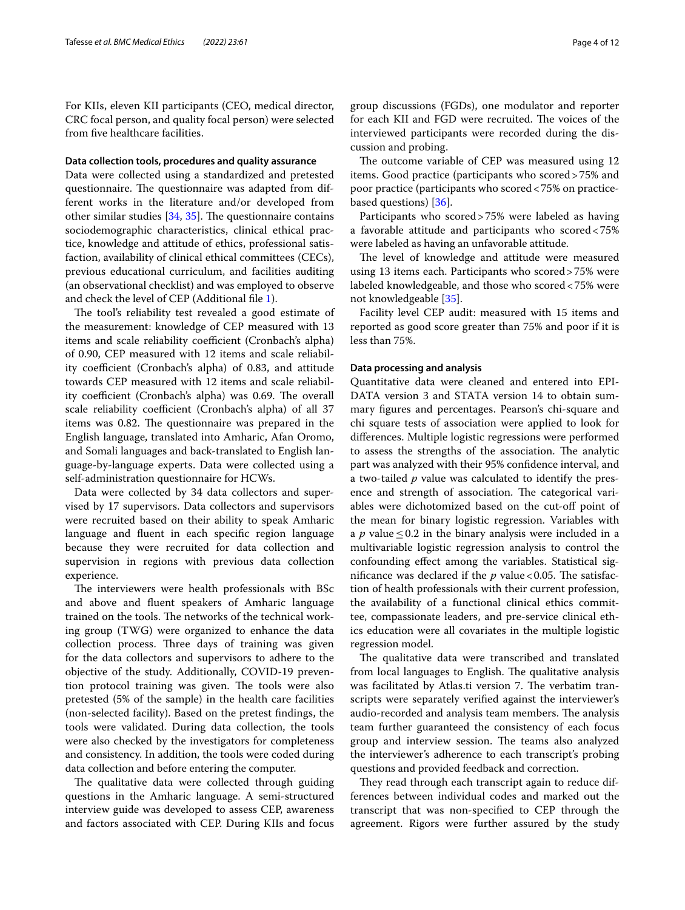For KIIs, eleven KII participants (CEO, medical director, CRC focal person, and quality focal person) were selected from fve healthcare facilities.

## **Data collection tools, procedures and quality assurance**

Data were collected using a standardized and pretested questionnaire. The questionnaire was adapted from different works in the literature and/or developed from other similar studies  $[34, 35]$  $[34, 35]$  $[34, 35]$  $[34, 35]$  $[34, 35]$ . The questionnaire contains sociodemographic characteristics, clinical ethical practice, knowledge and attitude of ethics, professional satisfaction, availability of clinical ethical committees (CECs), previous educational curriculum, and facilities auditing (an observational checklist) and was employed to observe and check the level of CEP (Additional fle [1\)](#page-10-2).

The tool's reliability test revealed a good estimate of the measurement: knowledge of CEP measured with 13 items and scale reliability coefficient (Cronbach's alpha) of 0.90, CEP measured with 12 items and scale reliability coefficient (Cronbach's alpha) of 0.83, and attitude towards CEP measured with 12 items and scale reliability coefficient (Cronbach's alpha) was 0.69. The overall scale reliability coefficient (Cronbach's alpha) of all 37 items was 0.82. The questionnaire was prepared in the English language, translated into Amharic, Afan Oromo, and Somali languages and back-translated to English language-by-language experts. Data were collected using a self-administration questionnaire for HCWs.

Data were collected by 34 data collectors and supervised by 17 supervisors. Data collectors and supervisors were recruited based on their ability to speak Amharic language and fuent in each specifc region language because they were recruited for data collection and supervision in regions with previous data collection experience.

The interviewers were health professionals with BSc and above and fuent speakers of Amharic language trained on the tools. The networks of the technical working group (TWG) were organized to enhance the data collection process. Three days of training was given for the data collectors and supervisors to adhere to the objective of the study. Additionally, COVID-19 prevention protocol training was given. The tools were also pretested (5% of the sample) in the health care facilities (non-selected facility). Based on the pretest fndings, the tools were validated. During data collection, the tools were also checked by the investigators for completeness and consistency. In addition, the tools were coded during data collection and before entering the computer.

The qualitative data were collected through guiding questions in the Amharic language. A semi-structured interview guide was developed to assess CEP, awareness and factors associated with CEP. During KIIs and focus group discussions (FGDs), one modulator and reporter for each KII and FGD were recruited. The voices of the interviewed participants were recorded during the discussion and probing.

The outcome variable of CEP was measured using 12 items. Good practice (participants who scored>75% and poor practice (participants who scored<75% on practicebased questions) [\[36](#page-11-33)].

Participants who scored>75% were labeled as having a favorable attitude and participants who scored<75% were labeled as having an unfavorable attitude.

The level of knowledge and attitude were measured using 13 items each. Participants who scored>75% were labeled knowledgeable, and those who scored<75% were not knowledgeable [\[35\]](#page-11-32).

Facility level CEP audit: measured with 15 items and reported as good score greater than 75% and poor if it is less than 75%.

#### **Data processing and analysis**

Quantitative data were cleaned and entered into EPI-DATA version 3 and STATA version 14 to obtain summary fgures and percentages. Pearson's chi-square and chi square tests of association were applied to look for diferences. Multiple logistic regressions were performed to assess the strengths of the association. The analytic part was analyzed with their 95% confdence interval, and a two-tailed *p* value was calculated to identify the presence and strength of association. The categorical variables were dichotomized based on the cut-off point of the mean for binary logistic regression. Variables with a *p* value  $\leq$  0.2 in the binary analysis were included in a multivariable logistic regression analysis to control the confounding efect among the variables. Statistical significance was declared if the  $p$  value < 0.05. The satisfaction of health professionals with their current profession, the availability of a functional clinical ethics committee, compassionate leaders, and pre-service clinical ethics education were all covariates in the multiple logistic regression model.

The qualitative data were transcribed and translated from local languages to English. The qualitative analysis was facilitated by Atlas.ti version 7. The verbatim transcripts were separately verifed against the interviewer's audio-recorded and analysis team members. The analysis team further guaranteed the consistency of each focus group and interview session. The teams also analyzed the interviewer's adherence to each transcript's probing questions and provided feedback and correction.

They read through each transcript again to reduce differences between individual codes and marked out the transcript that was non-specifed to CEP through the agreement. Rigors were further assured by the study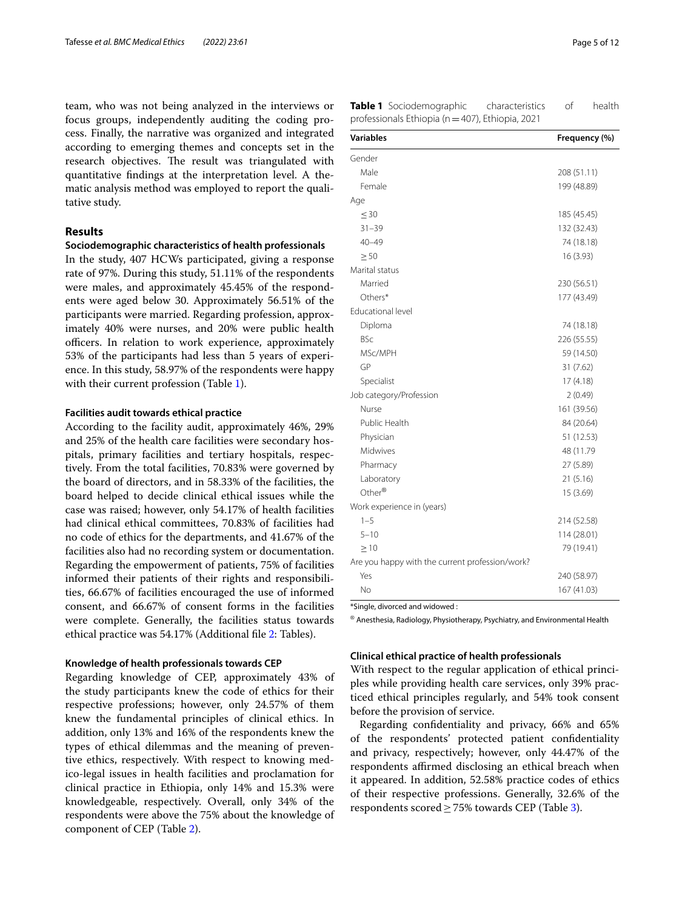team, who was not being analyzed in the interviews or focus groups, independently auditing the coding process. Finally, the narrative was organized and integrated according to emerging themes and concepts set in the research objectives. The result was triangulated with quantitative fndings at the interpretation level. A thematic analysis method was employed to report the qualitative study.

## **Results**

#### **Sociodemographic characteristics of health professionals**

In the study, 407 HCWs participated, giving a response rate of 97%. During this study, 51.11% of the respondents were males, and approximately 45.45% of the respondents were aged below 30. Approximately 56.51% of the participants were married. Regarding profession, approximately 40% were nurses, and 20% were public health officers. In relation to work experience, approximately 53% of the participants had less than 5 years of experience. In this study, 58.97% of the respondents were happy with their current profession (Table [1](#page-4-0)).

#### **Facilities audit towards ethical practice**

According to the facility audit, approximately 46%, 29% and 25% of the health care facilities were secondary hospitals, primary facilities and tertiary hospitals, respectively. From the total facilities, 70.83% were governed by the board of directors, and in 58.33% of the facilities, the board helped to decide clinical ethical issues while the case was raised; however, only 54.17% of health facilities had clinical ethical committees, 70.83% of facilities had no code of ethics for the departments, and 41.67% of the facilities also had no recording system or documentation. Regarding the empowerment of patients, 75% of facilities informed their patients of their rights and responsibilities, 66.67% of facilities encouraged the use of informed consent, and 66.67% of consent forms in the facilities were complete. Generally, the facilities status towards ethical practice was 54.17% (Additional fle [2:](#page-10-3) Tables).

#### **Knowledge of health professionals towards CEP**

Regarding knowledge of CEP, approximately 43% of the study participants knew the code of ethics for their respective professions; however, only 24.57% of them knew the fundamental principles of clinical ethics. In addition, only 13% and 16% of the respondents knew the types of ethical dilemmas and the meaning of preventive ethics, respectively. With respect to knowing medico-legal issues in health facilities and proclamation for clinical practice in Ethiopia, only 14% and 15.3% were knowledgeable, respectively. Overall, only 34% of the respondents were above the 75% about the knowledge of component of CEP (Table [2](#page-5-0)).

<span id="page-4-0"></span>

| <b>Variables</b>                                | Frequency (%) |
|-------------------------------------------------|---------------|
| Gender                                          |               |
| Male                                            | 208 (51.11)   |
| Female                                          | 199 (48.89)   |
| Age                                             |               |
| $\leq 30$                                       | 185 (45.45)   |
| $31 - 39$                                       | 132 (32.43)   |
| $40 - 49$                                       | 74 (18.18)    |
| $\geq 50$                                       | 16 (3.93)     |
| Marital status                                  |               |
| Married                                         | 230 (56.51)   |
| Others*                                         | 177 (43.49)   |
| Educational level                               |               |
| Diploma                                         | 74 (18.18)    |
| <b>BSc</b>                                      | 226 (55.55)   |
| MSc/MPH                                         | 59 (14.50)    |
| GP                                              | 31 (7.62)     |
| Specialist                                      | 17(4.18)      |
| Job category/Profession                         | 2(0.49)       |
| Nurse                                           | 161 (39.56)   |
| Public Health                                   | 84 (20.64)    |
| Physician                                       | 51 (12.53)    |
| Midwives                                        | 48 (11.79     |
| Pharmacy                                        | 27 (5.89)     |
| Laboratory                                      | 21 (5.16)     |
| Other®                                          | 15 (3.69)     |
| Work experience in (years)                      |               |
| $1 - 5$                                         | 214 (52.58)   |
| $5 - 10$                                        | 114 (28.01)   |
| $\geq 10$                                       | 79 (19.41)    |
| Are you happy with the current profession/work? |               |
| Yes                                             | 240 (58.97)   |
| No                                              | 167 (41.03)   |

\*Single, divorced and widowed :

 $^{\circledR}$  Anesthesia, Radiology, Physiotherapy, Psychiatry, and Environmental Health

#### **Clinical ethical practice of health professionals**

With respect to the regular application of ethical principles while providing health care services, only 39% practiced ethical principles regularly, and 54% took consent before the provision of service.

Regarding confdentiality and privacy, 66% and 65% of the respondents' protected patient confdentiality and privacy, respectively; however, only 44.47% of the respondents affirmed disclosing an ethical breach when it appeared. In addition, 52.58% practice codes of ethics of their respective professions. Generally, 32.6% of the respondents scored  $\geq$  75% towards CEP (Table [3](#page-5-1)).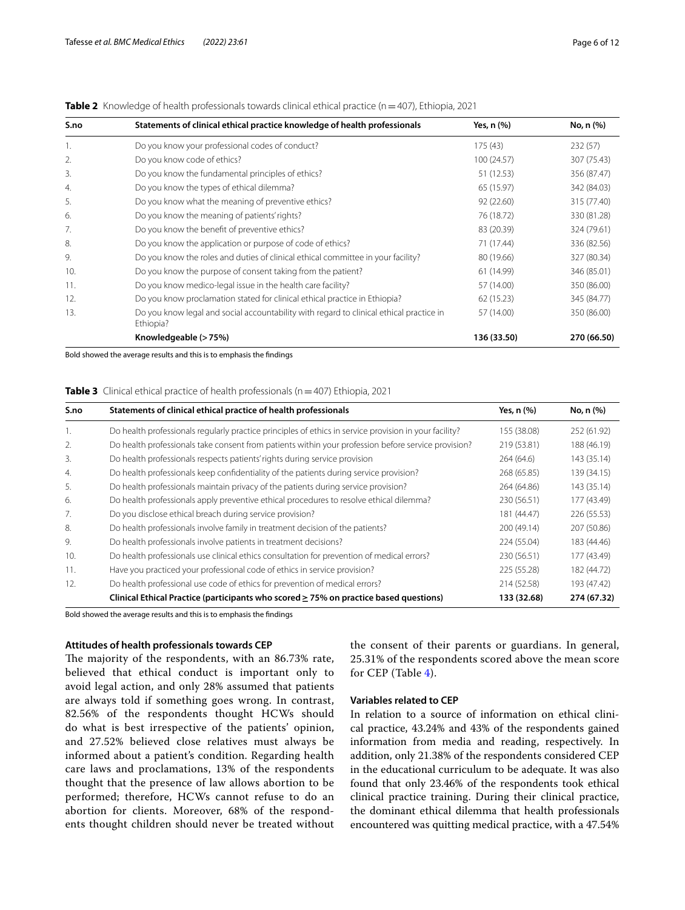| S.no | Statements of clinical ethical practice knowledge of health professionals                            | Yes, n (%)  | No, n (%)   |
|------|------------------------------------------------------------------------------------------------------|-------------|-------------|
| 1.   | Do you know your professional codes of conduct?                                                      | 175(43)     | 232(57)     |
| 2.   | Do you know code of ethics?                                                                          | 100 (24.57) | 307 (75.43) |
| 3.   | Do you know the fundamental principles of ethics?                                                    | 51 (12.53)  | 356 (87.47) |
| 4.   | Do you know the types of ethical dilemma?                                                            | 65 (15.97)  | 342 (84.03) |
| 5.   | Do you know what the meaning of preventive ethics?                                                   | 92(22.60)   | 315 (77.40) |
| 6.   | Do you know the meaning of patients' rights?                                                         | 76 (18.72)  | 330 (81.28) |
| 7.   | Do you know the benefit of preventive ethics?                                                        | 83 (20.39)  | 324 (79.61) |
| 8.   | Do you know the application or purpose of code of ethics?                                            | 71 (17.44)  | 336 (82.56) |
| 9.   | Do you know the roles and duties of clinical ethical committee in your facility?                     | 80 (19.66)  | 327 (80.34) |
| 10.  | Do you know the purpose of consent taking from the patient?                                          | 61 (14.99)  | 346 (85.01) |
| 11.  | Do you know medico-legal issue in the health care facility?                                          | 57 (14.00)  | 350 (86.00) |
| 12.  | Do you know proclamation stated for clinical ethical practice in Ethiopia?                           | 62(15.23)   | 345 (84.77) |
| 13.  | Do you know legal and social accountability with regard to clinical ethical practice in<br>Ethiopia? | 57 (14.00)  | 350 (86.00) |
|      | Knowledgeable (> 75%)                                                                                | 136 (33.50) | 270 (66.50) |

#### <span id="page-5-0"></span>**Table 2** Knowledge of health professionals towards clinical ethical practice (n=407), Ethiopia, 2021

Bold showed the average results and this is to emphasis the fndings

#### <span id="page-5-1"></span>**Table 3** Clinical ethical practice of health professionals (n=407) Ethiopia, 2021

| S.no | Statements of clinical ethical practice of health professionals                                        | Yes, $n$ $%$ | No, n (%)   |
|------|--------------------------------------------------------------------------------------------------------|--------------|-------------|
|      | Do health professionals regularly practice principles of ethics in service provision in your facility? | 155 (38.08)  | 252 (61.92) |
| 2.   | Do health professionals take consent from patients within your profession before service provision?    | 219 (53.81)  | 188 (46.19) |
| 3.   | Do health professionals respects patients' rights during service provision                             | 264(64.6)    | 143 (35.14) |
| 4.   | Do health professionals keep confidentiality of the patients during service provision?                 | 268 (65.85)  | 139 (34.15) |
| 5.   | Do health professionals maintain privacy of the patients during service provision?                     | 264 (64.86)  | 143 (35.14) |
| 6.   | Do health professionals apply preventive ethical procedures to resolve ethical dilemma?                | 230 (56.51)  | 177 (43.49) |
| 7.   | Do you disclose ethical breach during service provision?                                               | 181 (44.47)  | 226 (55.53) |
| 8.   | Do health professionals involve family in treatment decision of the patients?                          | 200 (49.14)  | 207 (50.86) |
| 9.   | Do health professionals involve patients in treatment decisions?                                       | 224 (55.04)  | 183 (44.46) |
| 10.  | Do health professionals use clinical ethics consultation for prevention of medical errors?             | 230 (56.51)  | 177 (43.49) |
| 11.  | Have you practiced your professional code of ethics in service provision?                              | 225 (55.28)  | 182 (44.72) |
| 12.  | Do health professional use code of ethics for prevention of medical errors?                            | 214 (52.58)  | 193 (47.42) |
|      | Clinical Ethical Practice (participants who scored $\geq$ 75% on practice based questions)             | 133 (32.68)  | 274 (67.32) |

Bold showed the average results and this is to emphasis the fndings

#### **Attitudes of health professionals towards CEP**

The majority of the respondents, with an 86.73% rate, believed that ethical conduct is important only to avoid legal action, and only 28% assumed that patients are always told if something goes wrong. In contrast, 82.56% of the respondents thought HCWs should do what is best irrespective of the patients' opinion, and 27.52% believed close relatives must always be informed about a patient's condition. Regarding health care laws and proclamations, 13% of the respondents thought that the presence of law allows abortion to be performed; therefore, HCWs cannot refuse to do an abortion for clients. Moreover, 68% of the respondents thought children should never be treated without the consent of their parents or guardians. In general, 25.31% of the respondents scored above the mean score for CEP (Table [4](#page-6-0)).

#### **Variables related to CEP**

In relation to a source of information on ethical clinical practice, 43.24% and 43% of the respondents gained information from media and reading, respectively. In addition, only 21.38% of the respondents considered CEP in the educational curriculum to be adequate. It was also found that only 23.46% of the respondents took ethical clinical practice training. During their clinical practice, the dominant ethical dilemma that health professionals encountered was quitting medical practice, with a 47.54%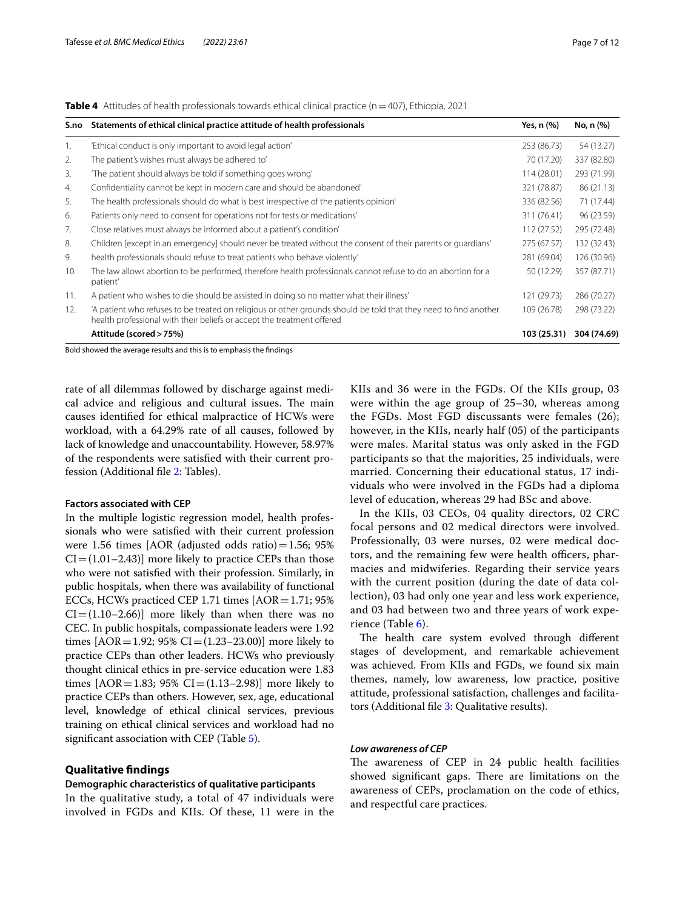<span id="page-6-0"></span>**Table 4** Attitudes of health professionals towards ethical clinical practice (n=407), Ethiopia, 2021

| S.no | Statements of ethical clinical practice attitude of health professionals                                                                                                                   | Yes, n (%)  | No, n (%)   |
|------|--------------------------------------------------------------------------------------------------------------------------------------------------------------------------------------------|-------------|-------------|
| 1.   | 'Ethical conduct is only important to avoid legal action'                                                                                                                                  | 253 (86.73) | 54 (13.27)  |
| 2.   | The patient's wishes must always be adhered to'                                                                                                                                            | 70 (17.20)  | 337 (82.80) |
| 3.   | 'The patient should always be told if something goes wrong'                                                                                                                                | 114 (28.01) | 293 (71.99) |
| 4.   | Confidentiality cannot be kept in modern care and should be abandoned'                                                                                                                     | 321 (78.87) | 86 (21.13)  |
| 5.   | The health professionals should do what is best irrespective of the patients opinion'                                                                                                      | 336 (82.56) | 71 (17.44)  |
| 6.   | Patients only need to consent for operations not for tests or medications'                                                                                                                 | 311 (76.41) | 96 (23.59)  |
| 7.   | Close relatives must always be informed about a patient's condition'                                                                                                                       | 112 (27.52) | 295 (72.48) |
| 8.   | Children [except in an emergency] should never be treated without the consent of their parents or quardians'                                                                               | 275 (67.57) | 132 (32.43) |
| 9.   | health professionals should refuse to treat patients who behave violently'                                                                                                                 | 281 (69.04) | 126 (30.96) |
| 10.  | The law allows abortion to be performed, therefore health professionals cannot refuse to do an abortion for a<br>patient'                                                                  | 50 (12.29)  | 357 (87.71) |
| 11.  | A patient who wishes to die should be assisted in doing so no matter what their illness'                                                                                                   | 121 (29.73) | 286 (70.27) |
| 12.  | 'A patient who refuses to be treated on religious or other grounds should be told that they need to find another<br>health professional with their beliefs or accept the treatment offered | 109 (26.78) | 298 (73.22) |
|      | Attitude (scored > 75%)                                                                                                                                                                    | 103 (25.31) | 304 (74.69) |

Bold showed the average results and this is to emphasis the fndings

rate of all dilemmas followed by discharge against medical advice and religious and cultural issues. The main causes identifed for ethical malpractice of HCWs were workload, with a 64.29% rate of all causes, followed by lack of knowledge and unaccountability. However, 58.97% of the respondents were satisfed with their current profession (Additional fle [2:](#page-10-3) Tables).

#### **Factors associated with CEP**

In the multiple logistic regression model, health professionals who were satisfed with their current profession were 1.56 times [AOR (adjusted odds ratio) $=1.56$ ; 95%  $CI = (1.01-2.43)$ ] more likely to practice CEPs than those who were not satisfed with their profession. Similarly, in public hospitals, when there was availability of functional ECCs, HCWs practiced CEP 1.71 times  $[AOR=1.71; 95%$  $CI = (1.10-2.66)$ ] more likely than when there was no CEC. In public hospitals, compassionate leaders were 1.92 times  $[AOR = 1.92; 95% CI = (1.23–23.00)]$  more likely to practice CEPs than other leaders. HCWs who previously thought clinical ethics in pre-service education were 1.83 times [AOR=1.83; 95% CI= $(1.13-2.98)$ ] more likely to practice CEPs than others. However, sex, age, educational level, knowledge of ethical clinical services, previous training on ethical clinical services and workload had no significant association with CEP (Table [5\)](#page-7-0).

#### **Qualitative fndings**

#### **Demographic characteristics of qualitative participants**

In the qualitative study, a total of 47 individuals were involved in FGDs and KIIs. Of these, 11 were in the KIIs and 36 were in the FGDs. Of the KIIs group, 03 were within the age group of 25–30, whereas among the FGDs. Most FGD discussants were females (26); however, in the KIIs, nearly half (05) of the participants were males. Marital status was only asked in the FGD participants so that the majorities, 25 individuals, were married. Concerning their educational status, 17 individuals who were involved in the FGDs had a diploma level of education, whereas 29 had BSc and above.

In the KIIs, 03 CEOs, 04 quality directors, 02 CRC focal persons and 02 medical directors were involved. Professionally, 03 were nurses, 02 were medical doctors, and the remaining few were health officers, pharmacies and midwiferies. Regarding their service years with the current position (during the date of data collection), 03 had only one year and less work experience, and 03 had between two and three years of work experience (Table [6](#page-8-0)).

The health care system evolved through different stages of development, and remarkable achievement was achieved. From KIIs and FGDs, we found six main themes, namely, low awareness, low practice, positive attitude, professional satisfaction, challenges and facilitators (Additional fle [3:](#page-10-4) Qualitative results).

#### *Low awareness of CEP*

The awareness of CEP in 24 public health facilities showed significant gaps. There are limitations on the awareness of CEPs, proclamation on the code of ethics, and respectful care practices.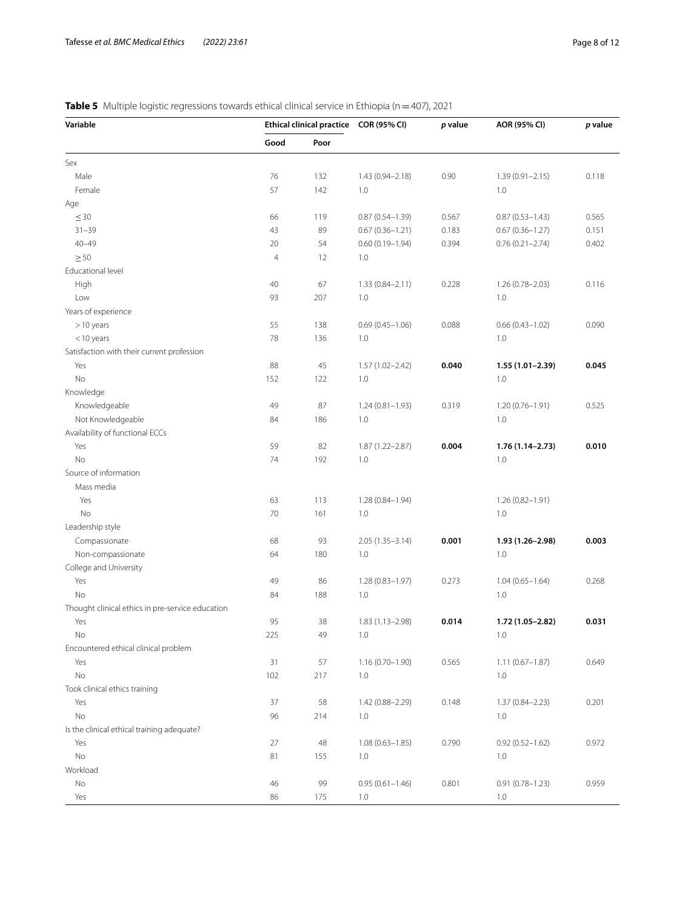## <span id="page-7-0"></span>**Table 5** Multiple logistic regressions towards ethical clinical service in Ethiopia (n=407), 2021

| Variable                                         | Ethical clinical practice COR (95% CI)<br>Good<br>Poor |     |                     | p value | AOR (95% CI)        | p value |
|--------------------------------------------------|--------------------------------------------------------|-----|---------------------|---------|---------------------|---------|
|                                                  |                                                        |     |                     |         |                     |         |
| Sex                                              |                                                        |     |                     |         |                     |         |
| Male                                             | 76                                                     | 132 | 1.43 (0.94-2.18)    | 0.90    | $1.39(0.91 - 2.15)$ | 0.118   |
| Female                                           | 57                                                     | 142 | 1.0                 |         | 1.0                 |         |
| Age                                              |                                                        |     |                     |         |                     |         |
| $\leq 30$                                        | 66                                                     | 119 | $0.87(0.54 - 1.39)$ | 0.567   | $0.87(0.53 - 1.43)$ | 0.565   |
| $31 - 39$                                        | 43                                                     | 89  | $0.67(0.36 - 1.21)$ | 0.183   | $0.67(0.36 - 1.27)$ | 0.151   |
| $40 - 49$                                        | 20                                                     | 54  | $0.60(0.19 - 1.94)$ | 0.394   | $0.76(0.21 - 2.74)$ | 0.402   |
| $\geq 50$                                        | $\overline{4}$                                         | 12  | 1.0                 |         |                     |         |
| Educational level                                |                                                        |     |                     |         |                     |         |
| High                                             | 40                                                     | 67  | $1.33(0.84 - 2.11)$ | 0.228   | 1.26 (0.78-2.03)    | 0.116   |
| Low                                              | 93                                                     | 207 | 1.0                 |         | 1.0                 |         |
| Years of experience                              |                                                        |     |                     |         |                     |         |
| $>10$ years                                      | 55                                                     | 138 | $0.69(0.45 - 1.06)$ | 0.088   | $0.66(0.43 - 1.02)$ | 0.090   |
| $<$ 10 years                                     | 78                                                     | 136 | 1.0                 |         | 1.0                 |         |
| Satisfaction with their current profession       |                                                        |     |                     |         |                     |         |
|                                                  |                                                        |     |                     |         | $1.55(1.01 - 2.39)$ |         |
| Yes                                              | 88                                                     | 45  | 1.57 (1.02-2.42)    | 0.040   |                     | 0.045   |
| No                                               | 152                                                    | 122 | 1.0                 |         | 1.0                 |         |
| Knowledge                                        |                                                        |     |                     |         |                     |         |
| Knowledgeable                                    | 49                                                     | 87  | $1.24(0.81 - 1.93)$ | 0.319   | $1.20(0.76 - 1.91)$ | 0.525   |
| Not Knowledgeable                                | 84                                                     | 186 | 1.0                 |         | 1.0                 |         |
| Availability of functional ECCs                  |                                                        |     |                     |         |                     |         |
| Yes                                              | 59                                                     | 82  | 1.87 (1.22-2.87)    | 0.004   | $1.76(1.14 - 2.73)$ | 0.010   |
| No                                               | 74                                                     | 192 | 1.0                 |         | 1.0                 |         |
| Source of information                            |                                                        |     |                     |         |                     |         |
| Mass media                                       |                                                        |     |                     |         |                     |         |
| Yes                                              | 63                                                     | 113 | 1.28 (0.84-1.94)    |         | $1.26(0,82-1.91)$   |         |
| No                                               | 70                                                     | 161 | 1.0                 |         | 1.0                 |         |
| Leadership style                                 |                                                        |     |                     |         |                     |         |
| Compassionate                                    | 68                                                     | 93  | $2.05(1.35 - 3.14)$ | 0.001   | 1.93 (1.26-2.98)    | 0.003   |
| Non-compassionate                                | 64                                                     | 180 | 1.0                 |         | 1.0                 |         |
| College and University                           |                                                        |     |                     |         |                     |         |
| Yes                                              | 49                                                     | 86  | $1.28(0.83 - 1.97)$ | 0.273   | $1.04(0.65 - 1.64)$ | 0.268   |
| No                                               | 84                                                     | 188 | 1.0                 |         | 1.0                 |         |
| Thought clinical ethics in pre-service education |                                                        |     |                     |         |                     |         |
| Yes                                              | 95                                                     | 38  | $1.83(1.13 - 2.98)$ | 0.014   | 1.72 (1.05-2.82)    | 0.031   |
| No                                               | 225                                                    | 49  | 1.0                 |         | 1.0                 |         |
| Encountered ethical clinical problem             |                                                        |     |                     |         |                     |         |
| Yes                                              | 31                                                     | 57  | $1.16(0.70 - 1.90)$ | 0.565   | $1.11(0.67 - 1.87)$ | 0.649   |
| No                                               | 102                                                    | 217 | 1.0                 |         | 1.0                 |         |
| Took clinical ethics training                    |                                                        |     |                     |         |                     |         |
| Yes                                              | 37                                                     | 58  | 1.42 (0.88-2.29)    | 0.148   | $1.37(0.84 - 2.23)$ | 0.201   |
| No                                               | 96                                                     | 214 | 1.0                 |         | 1.0                 |         |
| Is the clinical ethical training adequate?       |                                                        |     |                     |         |                     |         |
| Yes                                              | 27                                                     | 48  | $1.08(0.63 - 1.85)$ | 0.790   | $0.92(0.52 - 1.62)$ | 0.972   |
| No                                               | 81                                                     | 155 | 1.0                 |         | 1.0                 |         |
| Workload                                         |                                                        |     |                     |         |                     |         |
| No                                               | 46                                                     | 99  | $0.95(0.61 - 1.46)$ | 0.801   | $0.91(0.78 - 1.23)$ | 0.959   |
| Yes                                              | 86                                                     | 175 | 1.0                 |         | 1.0                 |         |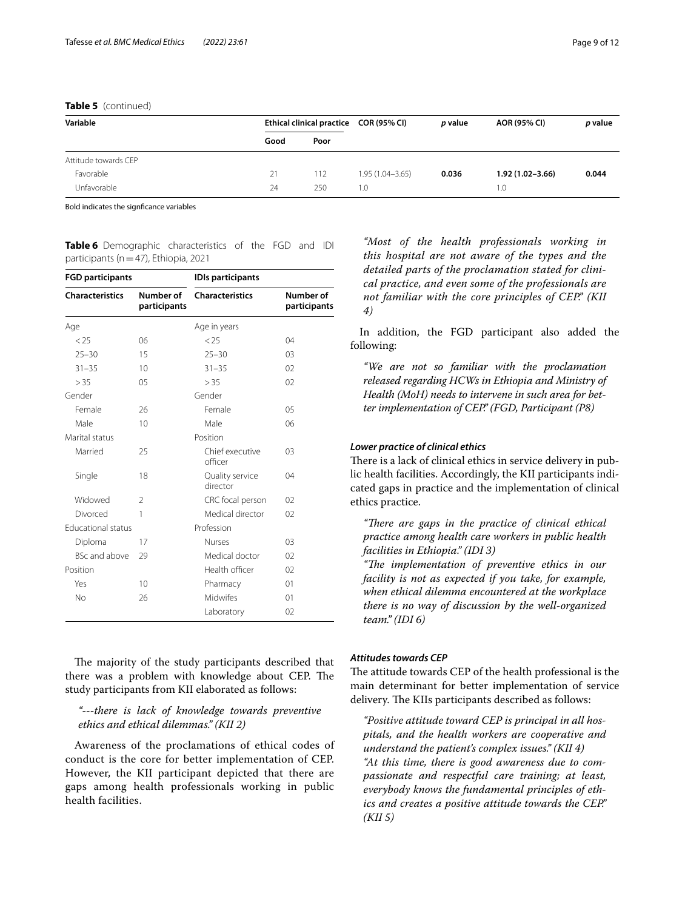#### **Table 5** (continued)

| Variable             | Ethical clinical practice COR (95% CI) |      |                     | <i>p</i> value | AOR (95% CI)        | p value |
|----------------------|----------------------------------------|------|---------------------|----------------|---------------------|---------|
|                      | Good                                   | Poor |                     |                |                     |         |
| Attitude towards CEP |                                        |      |                     |                |                     |         |
| Favorable            | 21                                     | 112  | $1.95(1.04 - 3.65)$ | 0.036          | $1.92(1.02 - 3.66)$ | 0.044   |
| Unfavorable          | 24                                     | 250  | 1.0                 |                | 1.0                 |         |

Bold indicates the signfcance variables

<span id="page-8-0"></span>**Table 6** Demographic characteristics of the FGD and IDI participants (n=47), Ethiopia, 2021

| <b>FGD participants</b>   |                           | <b>IDIs participants</b>    |                           |  |  |  |
|---------------------------|---------------------------|-----------------------------|---------------------------|--|--|--|
| <b>Characteristics</b>    | Number of<br>participants | <b>Characteristics</b>      | Number of<br>participants |  |  |  |
| Age                       |                           | Age in years                |                           |  |  |  |
| < 25                      | 06                        | < 25                        | 04                        |  |  |  |
| $25 - 30$                 | 15                        | $25 - 30$                   | 0 <sup>3</sup>            |  |  |  |
| $31 - 35$                 | 10                        | $31 - 35$                   | 02                        |  |  |  |
| > 35                      | 05                        | > 35                        | 02                        |  |  |  |
| Gender                    |                           | Gender                      |                           |  |  |  |
| Female                    | 26                        | Female                      | 0 <sub>5</sub>            |  |  |  |
| Male                      | 10                        | Male                        | 06                        |  |  |  |
| Marital status            |                           | Position                    |                           |  |  |  |
| Married                   | 25                        | Chief executive<br>officer  | 0 <sup>3</sup>            |  |  |  |
| Single                    | 18                        | Quality service<br>director | $\Omega$                  |  |  |  |
| Widowed                   | $\mathfrak{D}$            | CRC focal person            | 02                        |  |  |  |
| Divorced                  | 1                         | Medical director            | 02                        |  |  |  |
| <b>Educational status</b> |                           | Profession                  |                           |  |  |  |
| Diploma                   | 17                        | Nurses                      | 03                        |  |  |  |
| <b>BSc and above</b>      | 29                        | Medical doctor              | 02                        |  |  |  |
| Position                  |                           | Health officer              | 02                        |  |  |  |
| Yes                       | 10                        | Pharmacy                    | 01                        |  |  |  |
| No                        | 26                        | <b>Midwifes</b>             | 01                        |  |  |  |
|                           |                           | Laboratory                  | 02                        |  |  |  |

The majority of the study participants described that there was a problem with knowledge about CEP. The study participants from KII elaborated as follows:

## *"---there is lack of knowledge towards preventive ethics and ethical dilemmas." (KII 2)*

Awareness of the proclamations of ethical codes of conduct is the core for better implementation of CEP. However, the KII participant depicted that there are gaps among health professionals working in public health facilities.

*"Most of the health professionals working in this hospital are not aware of the types and the detailed parts of the proclamation stated for clinical practice, and even some of the professionals are not familiar with the core principles of CEP." (KII 4)*

In addition, the FGD participant also added the following:

*"We are not so familiar with the proclamation released regarding HCWs in Ethiopia and Ministry of Health (MoH) needs to intervene in such area for better implementation of CEP." (FGD, Participant (P8)*

#### *Lower practice of clinical ethics*

There is a lack of clinical ethics in service delivery in public health facilities. Accordingly, the KII participants indicated gaps in practice and the implementation of clinical ethics practice.

*"There are gaps in the practice of clinical ethical practice among health care workers in public health facilities in Ethiopia." (IDI 3)*

*"Te implementation of preventive ethics in our facility is not as expected if you take, for example, when ethical dilemma encountered at the workplace there is no way of discussion by the well-organized team." (IDI 6)*

#### *Attitudes towards CEP*

The attitude towards CEP of the health professional is the main determinant for better implementation of service delivery. The KIIs participants described as follows:

*"Positive attitude toward CEP is principal in all hospitals, and the health workers are cooperative and understand the patient's complex issues." (KII 4) "At this time, there is good awareness due to compassionate and respectful care training; at least, everybody knows the fundamental principles of ethics and creates a positive attitude towards the CEP." (KII 5)*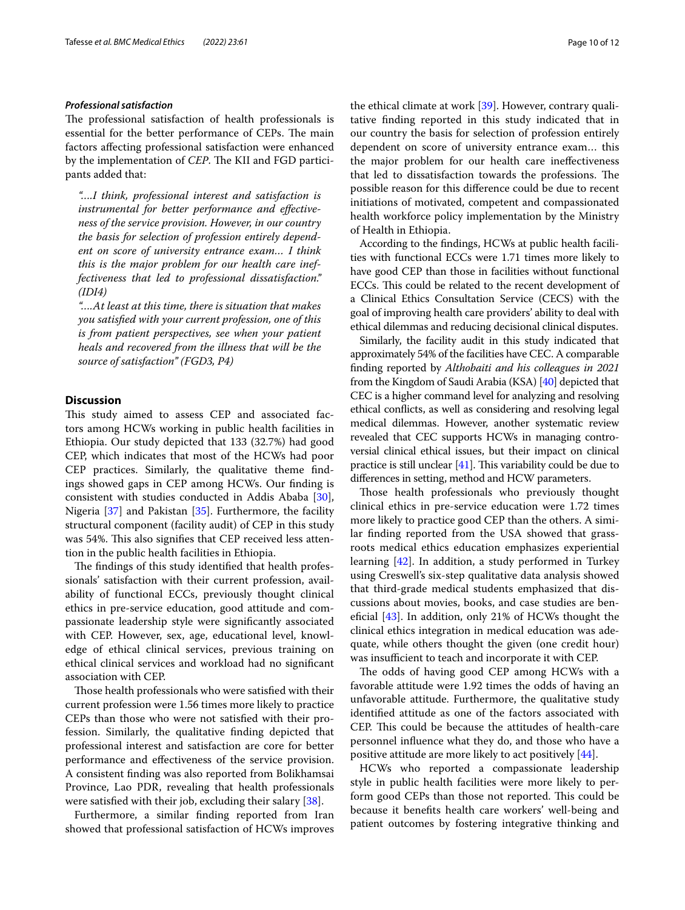#### *Professional satisfaction*

The professional satisfaction of health professionals is essential for the better performance of CEPs. The main factors afecting professional satisfaction were enhanced by the implementation of *CEP*. The KII and FGD participants added that:

*"….I think, professional interest and satisfaction is instrumental for better performance and efectiveness of the service provision. However, in our country the basis for selection of profession entirely dependent on score of university entrance exam… I think this is the major problem for our health care ineffectiveness that led to professional dissatisfaction." (IDI4)*

*"….At least at this time, there is situation that makes you satisfed with your current profession, one of this is from patient perspectives, see when your patient heals and recovered from the illness that will be the source of satisfaction" (FGD3, P4)*

## **Discussion**

This study aimed to assess CEP and associated factors among HCWs working in public health facilities in Ethiopia. Our study depicted that 133 (32.7%) had good CEP, which indicates that most of the HCWs had poor CEP practices. Similarly, the qualitative theme fndings showed gaps in CEP among HCWs. Our fnding is consistent with studies conducted in Addis Ababa [\[30](#page-11-27)], Nigeria [[37](#page-11-34)] and Pakistan [[35\]](#page-11-32). Furthermore, the facility structural component (facility audit) of CEP in this study was 54%. This also signifies that CEP received less attention in the public health facilities in Ethiopia.

The findings of this study identified that health professionals' satisfaction with their current profession, availability of functional ECCs, previously thought clinical ethics in pre-service education, good attitude and compassionate leadership style were signifcantly associated with CEP. However, sex, age, educational level, knowledge of ethical clinical services, previous training on ethical clinical services and workload had no signifcant association with CEP.

Those health professionals who were satisfied with their current profession were 1.56 times more likely to practice CEPs than those who were not satisfed with their profession. Similarly, the qualitative fnding depicted that professional interest and satisfaction are core for better performance and efectiveness of the service provision. A consistent fnding was also reported from Bolikhamsai Province, Lao PDR, revealing that health professionals were satisfed with their job, excluding their salary [\[38](#page-11-35)].

Furthermore, a similar fnding reported from Iran showed that professional satisfaction of HCWs improves the ethical climate at work [[39\]](#page-11-36). However, contrary qualitative fnding reported in this study indicated that in our country the basis for selection of profession entirely dependent on score of university entrance exam… this the major problem for our health care inefectiveness that led to dissatisfaction towards the professions. The possible reason for this diference could be due to recent initiations of motivated, competent and compassionated health workforce policy implementation by the Ministry of Health in Ethiopia.

According to the fndings, HCWs at public health facilities with functional ECCs were 1.71 times more likely to have good CEP than those in facilities without functional ECCs. This could be related to the recent development of a Clinical Ethics Consultation Service (CECS) with the goal of improving health care providers' ability to deal with ethical dilemmas and reducing decisional clinical disputes.

Similarly, the facility audit in this study indicated that approximately 54% of the facilities have CEC. A comparable fnding reported by *Althobaiti and his colleagues in 2021* from the Kingdom of Saudi Arabia (KSA) [\[40\]](#page-11-37) depicted that CEC is a higher command level for analyzing and resolving ethical conficts, as well as considering and resolving legal medical dilemmas. However, another systematic review revealed that CEC supports HCWs in managing controversial clinical ethical issues, but their impact on clinical practice is still unclear  $[41]$  $[41]$  $[41]$ . This variability could be due to diferences in setting, method and HCW parameters.

Those health professionals who previously thought clinical ethics in pre-service education were 1.72 times more likely to practice good CEP than the others. A similar fnding reported from the USA showed that grassroots medical ethics education emphasizes experiential learning [\[42](#page-11-39)]. In addition, a study performed in Turkey using Creswell's six-step qualitative data analysis showed that third-grade medical students emphasized that discussions about movies, books, and case studies are benefcial [\[43](#page-11-40)]. In addition, only 21% of HCWs thought the clinical ethics integration in medical education was adequate, while others thought the given (one credit hour) was insufficient to teach and incorporate it with CEP.

The odds of having good CEP among HCWs with a favorable attitude were 1.92 times the odds of having an unfavorable attitude. Furthermore, the qualitative study identifed attitude as one of the factors associated with CEP. This could be because the attitudes of health-care personnel infuence what they do, and those who have a positive attitude are more likely to act positively [[44\]](#page-11-41).

HCWs who reported a compassionate leadership style in public health facilities were more likely to perform good CEPs than those not reported. This could be because it benefts health care workers' well-being and patient outcomes by fostering integrative thinking and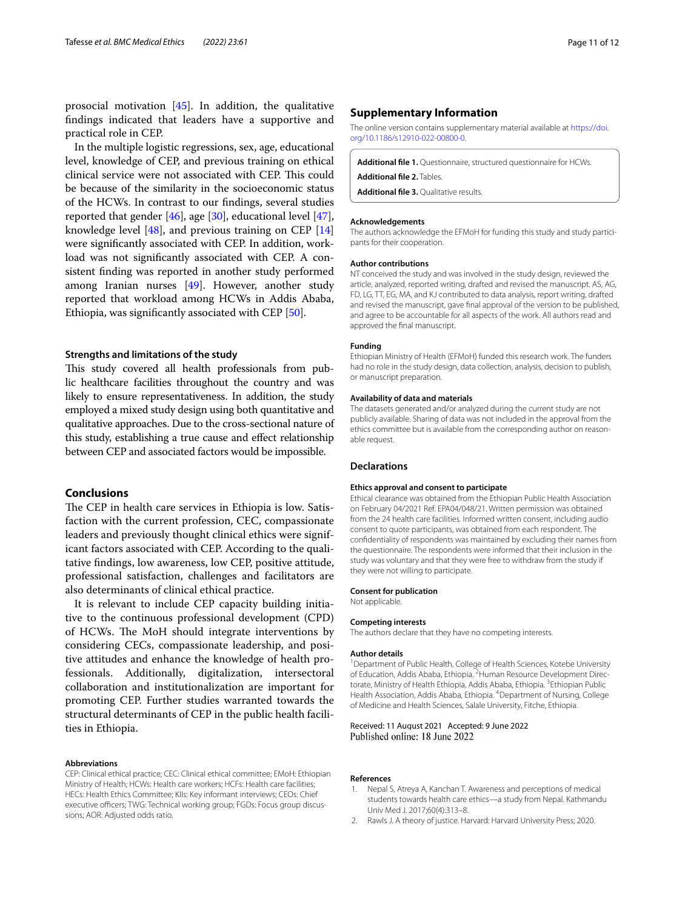prosocial motivation [[45\]](#page-11-42). In addition, the qualitative fndings indicated that leaders have a supportive and practical role in CEP.

In the multiple logistic regressions, sex, age, educational level, knowledge of CEP, and previous training on ethical clinical service were not associated with CEP. This could be because of the similarity in the socioeconomic status of the HCWs. In contrast to our fndings, several studies reported that gender [[46\]](#page-11-43), age [[30\]](#page-11-27), educational level [\[47](#page-11-44)], knowledge level [[48](#page-11-45)], and previous training on CEP [[14](#page-11-11)] were signifcantly associated with CEP. In addition, workload was not signifcantly associated with CEP. A consistent fnding was reported in another study performed among Iranian nurses [[49](#page-11-46)]. However, another study reported that workload among HCWs in Addis Ababa, Ethiopia, was signifcantly associated with CEP [\[50\]](#page-11-47).

#### **Strengths and limitations of the study**

This study covered all health professionals from public healthcare facilities throughout the country and was likely to ensure representativeness. In addition, the study employed a mixed study design using both quantitative and qualitative approaches. Due to the cross-sectional nature of this study, establishing a true cause and efect relationship between CEP and associated factors would be impossible.

#### **Conclusions**

The CEP in health care services in Ethiopia is low. Satisfaction with the current profession, CEC, compassionate leaders and previously thought clinical ethics were significant factors associated with CEP. According to the qualitative fndings, low awareness, low CEP, positive attitude, professional satisfaction, challenges and facilitators are also determinants of clinical ethical practice.

It is relevant to include CEP capacity building initiative to the continuous professional development (CPD) of HCWs. The MoH should integrate interventions by considering CECs, compassionate leadership, and positive attitudes and enhance the knowledge of health professionals. Additionally, digitalization, intersectoral collaboration and institutionalization are important for promoting CEP. Further studies warranted towards the structural determinants of CEP in the public health facilities in Ethiopia.

#### **Abbreviations**

CEP: Clinical ethical practice; CEC: Clinical ethical committee; EMoH: Ethiopian Ministry of Health; HCWs: Health care workers; HCFs: Health care facilities; HECs: Health Ethics Committee; KIIs: Key informant interviews; CEOs: Chief executive officers; TWG: Technical working group; FGDs: Focus group discussions; AOR: Adjusted odds ratio.

#### **Supplementary Information**

The online version contains supplementary material available at [https://doi.](https://doi.org/10.1186/s12910-022-00800-0) [org/10.1186/s12910-022-00800-0](https://doi.org/10.1186/s12910-022-00800-0).

<span id="page-10-3"></span><span id="page-10-2"></span>**Additional fle 1.** Questionnaire, structured questionnaire for HCWs.

<span id="page-10-4"></span>**Additional fle 2.** Tables.

**Additional fle 3.** Qualitative results.

#### **Acknowledgements**

The authors acknowledge the EFMoH for funding this study and study participants for their cooperation.

#### **Author contributions**

NT conceived the study and was involved in the study design, reviewed the article, analyzed, reported writing, drafted and revised the manuscript. AS, AG, FD, LG, TT, EG, MA, and KJ contributed to data analysis, report writing, drafted and revised the manuscript, gave fnal approval of the version to be published, and agree to be accountable for all aspects of the work. All authors read and approved the fnal manuscript.

#### **Funding**

Ethiopian Ministry of Health (EFMoH) funded this research work. The funders had no role in the study design, data collection, analysis, decision to publish, or manuscript preparation.

#### **Availability of data and materials**

The datasets generated and/or analyzed during the current study are not publicly available. Sharing of data was not included in the approval from the ethics committee but is available from the corresponding author on reasonable request.

#### **Declarations**

#### **Ethics approval and consent to participate**

Ethical clearance was obtained from the Ethiopian Public Health Association on February 04/2021 Ref. EPA04/048/21. Written permission was obtained from the 24 health care facilities. Informed written consent, including audio consent to quote participants, was obtained from each respondent. The confdentiality of respondents was maintained by excluding their names from the questionnaire. The respondents were informed that their inclusion in the study was voluntary and that they were free to withdraw from the study if they were not willing to participate.

#### **Consent for publication**

Not applicable.

#### **Competing interests**

The authors declare that they have no competing interests.

#### **Author details**

<sup>1</sup> Department of Public Health, College of Health Sciences, Kotebe University of Education, Addis Ababa, Ethiopia. <sup>2</sup> Human Resource Development Directorate, Ministry of Health Ethiopia, Addis Ababa, Ethiopia.<sup>3</sup> Ethiopian Public Health Association, Addis Ababa, Ethiopia. <sup>4</sup> Department of Nursing, College of Medicine and Health Sciences, Salale University, Fitche, Ethiopia.

#### Received: 11 August 2021 Accepted: 9 June 2022 Published online: 18 June 2022

#### **References**

- <span id="page-10-0"></span>1. Nepal S, Atreya A, Kanchan T. Awareness and perceptions of medical students towards health care ethics—a study from Nepal. Kathmandu Univ Med J. 2017;60(4):313–8.
- <span id="page-10-1"></span>2. Rawls J. A theory of justice. Harvard: Harvard University Press; 2020.